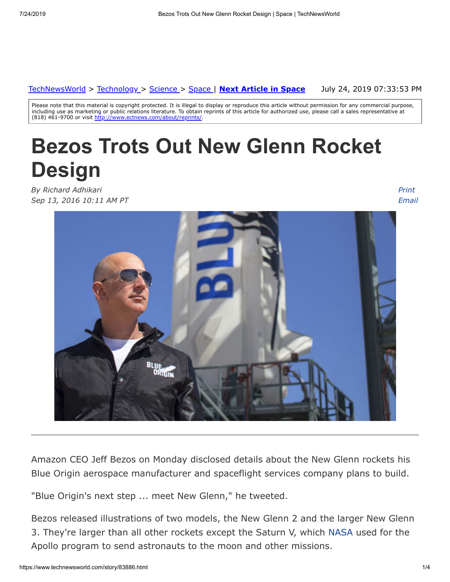#### [TechNewsWorld](https://www.technewsworld.com/) > [Technology](https://www.technewsworld.com/perl/section/technology/) > [Science](https://www.technewsworld.com/perl/section/science/) > [Space](https://www.technewsworld.com/perl/section/space/) | **[Next Article in Space](https://www.technewsworld.com/story/space/83837.html)**

July 24, 2019 07:33:53 PM

Please note that this material is copyright protected. It is illegal to display or reproduce this article without permission for any commercial purpose, including use as marketing or public relations literature. To obtain reprints of this article for authorized use, please call a sales representative at (818) 461-9700 or visit <http://www.ectnews.com/about/reprints/>

# **Bezos Trots Out New Glenn Rocket Design**

*By Richard Adhikari Sep 13, 2016 10:11 AM PT*

*Print [Email](https://www.technewsworld.com/perl/mailit/?id=83886)*



Amazon CEO Jeff Bezos on Monday disclosed details about the New Glenn rockets his Blue Origin aerospace manufacturer and spaceflight services company plans to build.

"Blue Origin's next step ... meet New Glenn," he tweeted.

Bezos released illustrations of two models, the New Glenn 2 and the larger New Glenn 3. They're larger than all other rockets except the Saturn V, which [NASA](http://www.nasa.gov/) used for the Apollo program to send astronauts to the moon and other missions.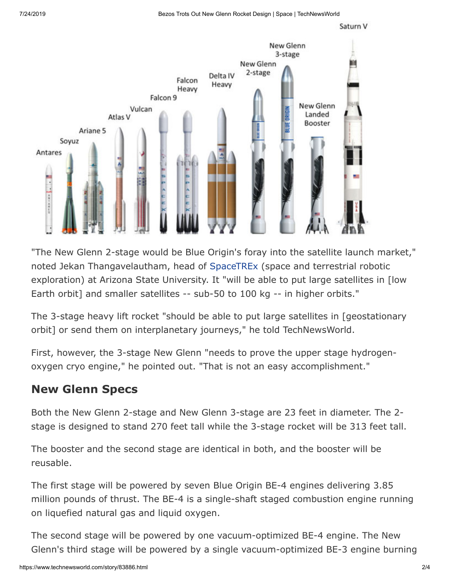



"The New Glenn 2-stage would be Blue Origin's foray into the satellite launch market," noted Jekan Thangavelautham, head of [SpaceTREx](http://www.space.asu.edu/) (space and terrestrial robotic exploration) at Arizona State University. It "will be able to put large satellites in [low Earth orbit] and smaller satellites -- sub-50 to 100 kg -- in higher orbits."

The 3-stage heavy lift rocket "should be able to put large satellites in [geostationary orbit] or send them on interplanetary journeys," he told TechNewsWorld.

First, however, the 3-stage New Glenn "needs to prove the upper stage hydrogenoxygen cryo engine," he pointed out. "That is not an easy accomplishment."

#### **New Glenn Specs**

Both the New Glenn 2-stage and New Glenn 3-stage are 23 feet in diameter. The 2 stage is designed to stand 270 feet tall while the 3-stage rocket will be 313 feet tall.

The booster and the second stage are identical in both, and the booster will be reusable.

The first stage will be powered by seven Blue Origin BE-4 engines delivering 3.85 million pounds of thrust. The BE-4 is a single-shaft staged combustion engine running on liquefied natural gas and liquid oxygen.

The second stage will be powered by one vacuum-optimized BE-4 engine. The New Glenn's third stage will be powered by a single vacuum-optimized BE-3 engine burning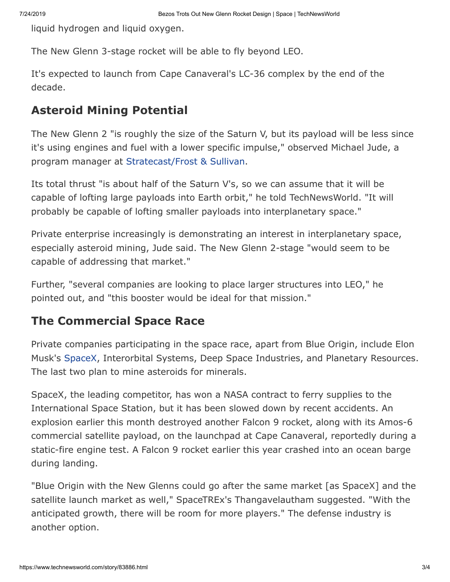liquid hydrogen and liquid oxygen.

The New Glenn 3-stage rocket will be able to fly beyond LEO.

It's expected to launch from Cape Canaveral's LC-36 complex by the end of the decade.

#### **Asteroid Mining Potential**

The New Glenn 2 "is roughly the size of the Saturn V, but its payload will be less since it's using engines and fuel with a lower specific impulse," observed Michael Jude, a program manager at [Stratecast/Frost & Sullivan.](http://ww2.frost.com/research/industry/information-communications-technologies/telecommunications-strategic-forecasting-stratecast/)

Its total thrust "is about half of the Saturn V's, so we can assume that it will be capable of lofting large payloads into Earth orbit," he told TechNewsWorld. "It will probably be capable of lofting smaller payloads into interplanetary space."

Private enterprise increasingly is demonstrating an interest in interplanetary space, especially asteroid mining, Jude said. The New Glenn 2-stage "would seem to be capable of addressing that market."

Further, "several companies are looking to place larger structures into LEO," he pointed out, and "this booster would be ideal for that mission."

### **The Commercial Space Race**

Private companies participating in the space race, apart from Blue Origin, include Elon Musk's [SpaceX,](http://www.spacex.com/) Interorbital Systems, Deep Space Industries, and Planetary Resources. The last two plan to mine asteroids for minerals.

SpaceX, the leading competitor, has won a NASA contract to ferry supplies to the International Space Station, but it has been slowed down by recent accidents. An explosion earlier this month destroyed another Falcon 9 rocket, along with its Amos-6 commercial satellite payload, on the launchpad at Cape Canaveral, reportedly during a static-fire engine test. A Falcon 9 rocket earlier this year crashed into an ocean barge during landing.

"Blue Origin with the New Glenns could go after the same market [as SpaceX] and the satellite launch market as well," SpaceTREx's Thangavelautham suggested. "With the anticipated growth, there will be room for more players." The defense industry is another option.